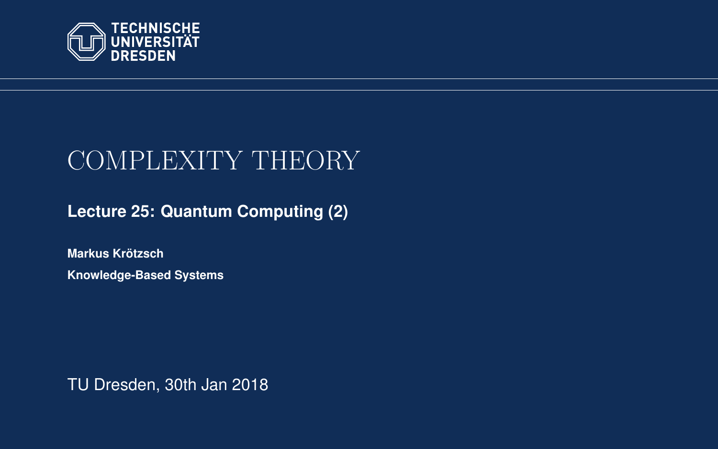<span id="page-0-0"></span>

# COMPLEXITY THEORY

**[Lecture 25: Quantum Computing \(2\)](https://iccl.inf.tu-dresden.de/web/Complexity_Theory_(WS2017/18))**

**[Markus Krotzsch](https://iccl.inf.tu-dresden.de/web/Markus_Kr%C3%B6tzsch/en) ¨ Knowledge-Based Systems**

TU Dresden, 30th Jan 2018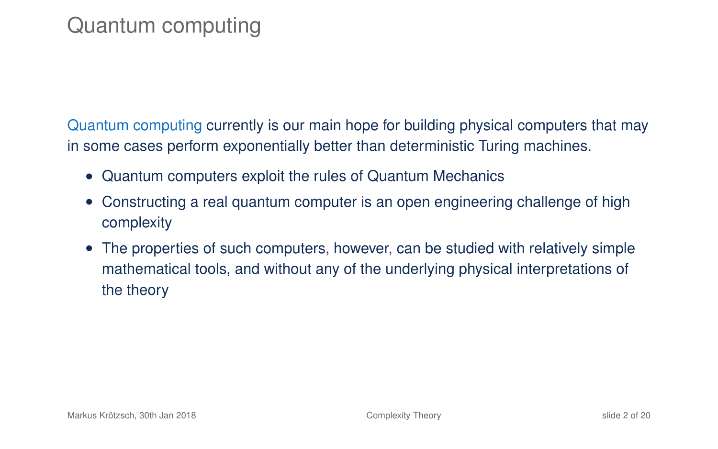## Quantum computing

Quantum computing currently is our main hope for building physical computers that may in some cases perform exponentially better than deterministic Turing machines.

- Quantum computers exploit the rules of Quantum Mechanics
- Constructing a real quantum computer is an open engineering challenge of high complexity
- The properties of such computers, however, can be studied with relatively simple mathematical tools, and without any of the underlying physical interpretations of the theory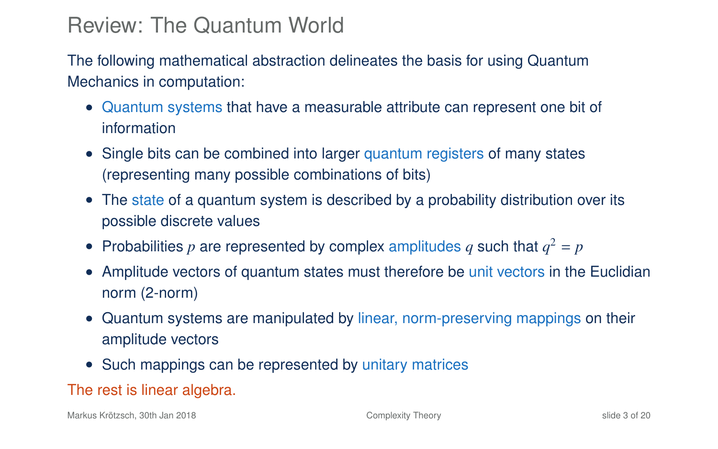## Review: The Quantum World

The following mathematical abstraction delineates the basis for using Quantum Mechanics in computation:

- Quantum systems that have a measurable attribute can represent one bit of information
- Single bits can be combined into larger quantum registers of many states (representing many possible combinations of bits)
- The state of a quantum system is described by a probability distribution over its possible discrete values
- Probabilities  $p$  are represented by complex amplitudes  $q$  such that  $q^2 = p$
- Amplitude vectors of quantum states must therefore be unit vectors in the Euclidian norm (2-norm)
- Quantum systems are manipulated by linear, norm-preserving mappings on their amplitude vectors
- Such mappings can be represented by unitary matrices

### The rest is linear algebra.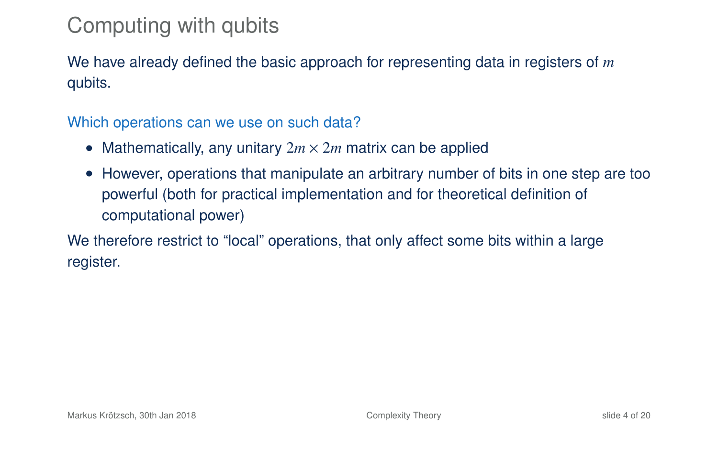## Computing with qubits

We have already defined the basic approach for representing data in registers of *m* qubits.

Which operations can we use on such data?

- Mathematically, any unitary  $2m \times 2m$  matrix can be applied
- However, operations that manipulate an arbitrary number of bits in one step are too powerful (both for practical implementation and for theoretical definition of computational power)

We therefore restrict to "local" operations, that only affect some bits within a large register.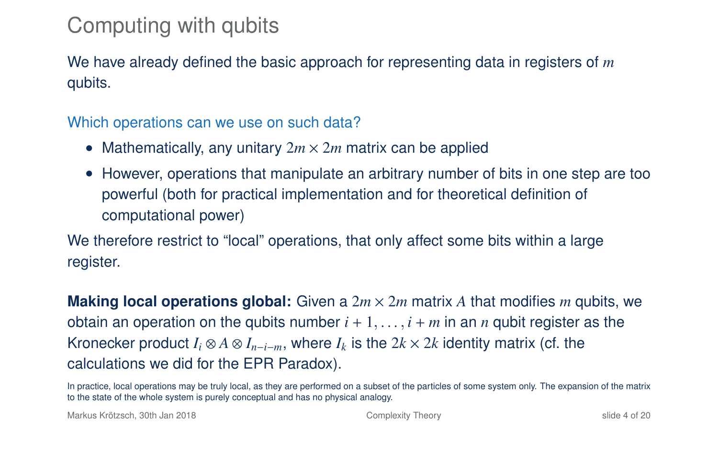## Computing with qubits

We have already defined the basic approach for representing data in registers of *m* qubits.

Which operations can we use on such data?

- Mathematically, any unitary  $2m \times 2m$  matrix can be applied
- However, operations that manipulate an arbitrary number of bits in one step are too powerful (both for practical implementation and for theoretical definition of computational power)

We therefore restrict to "local" operations, that only affect some bits within a large register.

**Making local operations global:** Given a  $2m \times 2m$  matrix A that modifies m qubits, we obtain an operation on the qubits number  $i + 1, \ldots, i + m$  in an *n* qubit register as the Kronecker product  $I_i \otimes A \otimes I_{n-i-m}$ , where  $I_k$  is the  $2k \times 2k$  identity matrix (cf. the calculations we did for the EPR Paradox).

In practice, local operations may be truly local, as they are performed on a subset of the particles of some system only. The expansion of the matrix to the state of the whole system is purely conceptual and has no physical analogy.

Markus Krötzsch, 30th Jan 2018 [Complexity Theory](#page-0-0) slide 4 of 20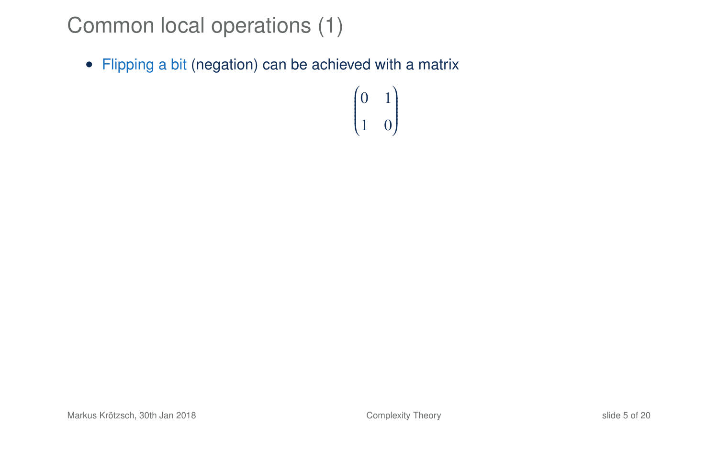• Flipping a bit (negation) can be achieved with a matrix

 $\begin{pmatrix} 0 & 1 \end{pmatrix}$  $\overline{\mathcal{C}}$ 1 0 Ι  $\cdot$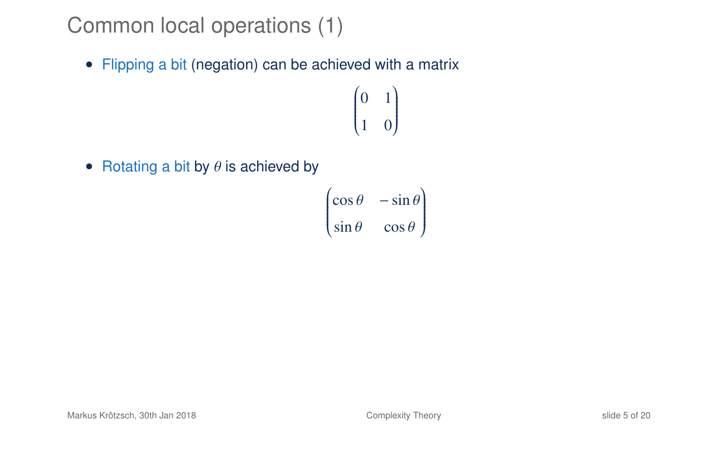• Flipping a bit (negation) can be achieved with a matrix

 $\begin{pmatrix} 0 & 1 \end{pmatrix}$  $\overline{\mathcal{C}}$ 1 0 Ι  $\cdot$ 

• Rotating a bit by  $\theta$  is achieved by

$$
\begin{pmatrix}\n\cos\theta & -\sin\theta \\
\sin\theta & \cos\theta\n\end{pmatrix}
$$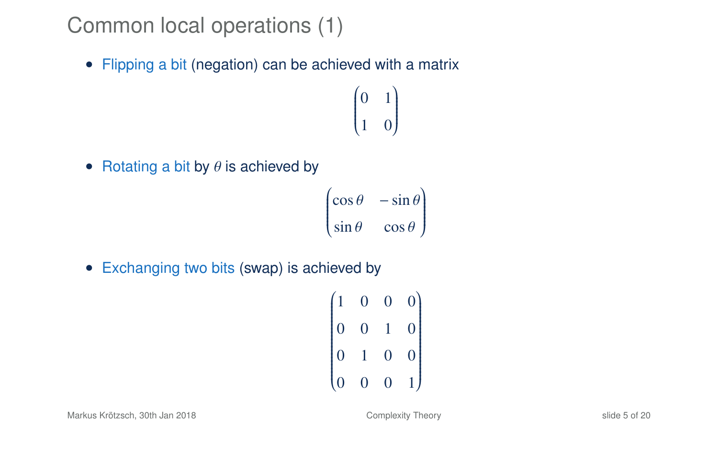• Flipping a bit (negation) can be achieved with a matrix

 $\begin{pmatrix} 0 & 1 \end{pmatrix}$  $\overline{\mathcal{C}}$ 1 0 Ι  $\cdot$ 

• Rotating a bit by  $\theta$  is achieved by

$$
\begin{pmatrix}\n\cos \theta & -\sin \theta \\
\sin \theta & \cos \theta\n\end{pmatrix}
$$

• Exchanging two bits (swap) is achieved by

$$
\begin{pmatrix}\n1 & 0 & 0 & 0 \\
0 & 0 & 1 & 0 \\
0 & 1 & 0 & 0 \\
0 & 0 & 0 & 1\n\end{pmatrix}
$$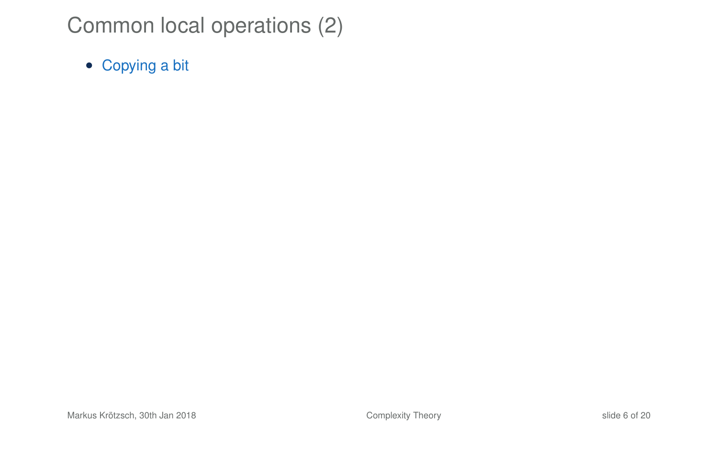• Copying a bit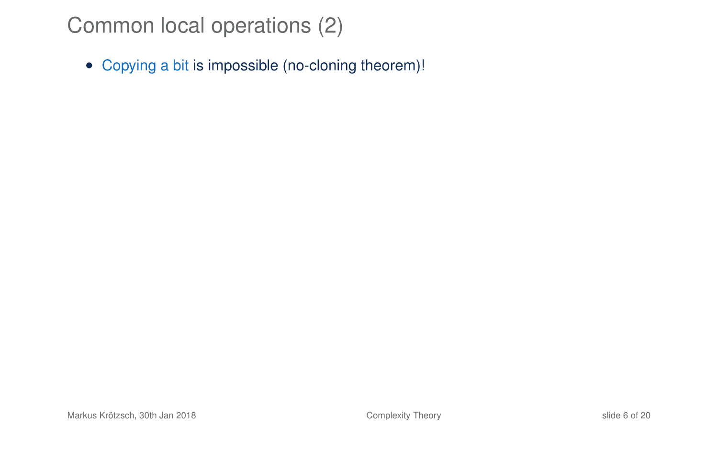• Copying a bit is impossible (no-cloning theorem)!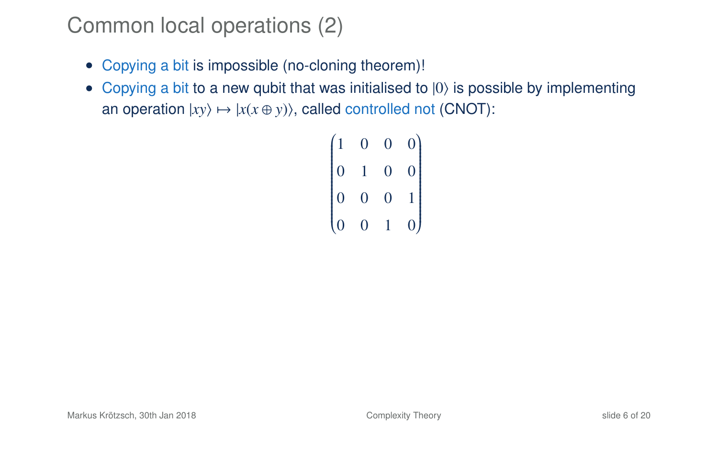- Copying a bit is impossible (no-cloning theorem)!
- Copying a bit to a new qubit that was initialised to  $|0\rangle$  is possible by implementing an operation  $|xy\rangle \mapsto |x(x \oplus y)\rangle$ , called controlled not (CNOT):

```
\begin{pmatrix} 1 & 0 & 0 & 0 \end{pmatrix}
 0 1 0 0
 0 0 0 1
 0 0 1 0
                  )
                  \int
```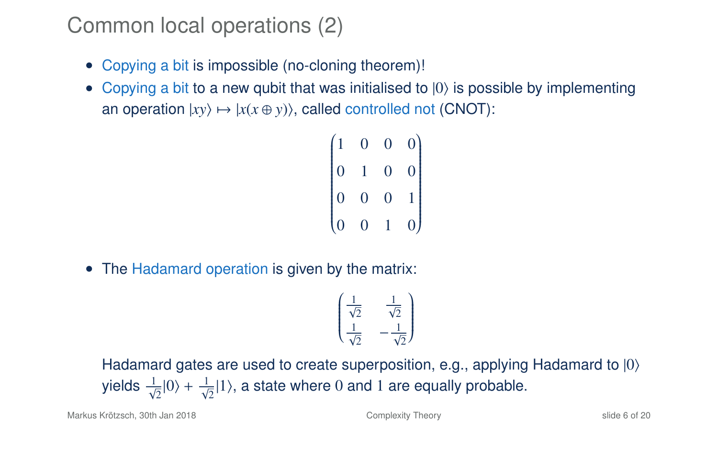- Copying a bit is impossible (no-cloning theorem)!
- Copying a bit to a new qubit that was initialised to  $|0\rangle$  is possible by implementing an operation  $|xy\rangle \mapsto |x(x \oplus y)\rangle$ , called controlled not (CNOT):

```
\begin{pmatrix} 1 & 0 & 0 & 0 \end{pmatrix}
 0 1 0 0
 0 0 0 1
 0 0 1 0
                 )
```
• The Hadamard operation is given by the matrix:

$$
\begin{pmatrix}\n\frac{1}{\sqrt{2}} & \frac{1}{\sqrt{2}} \\
\frac{1}{\sqrt{2}} & -\frac{1}{\sqrt{2}}\n\end{pmatrix}
$$

Hadamard gates are used to create superposition, e.g., applying Hadamard to  $|0\rangle$ yields  $\frac{1}{\sqrt{2}}|0\rangle + \frac{1}{\sqrt{2}}|1\rangle$ , a state where 0 and 1 are equally probable.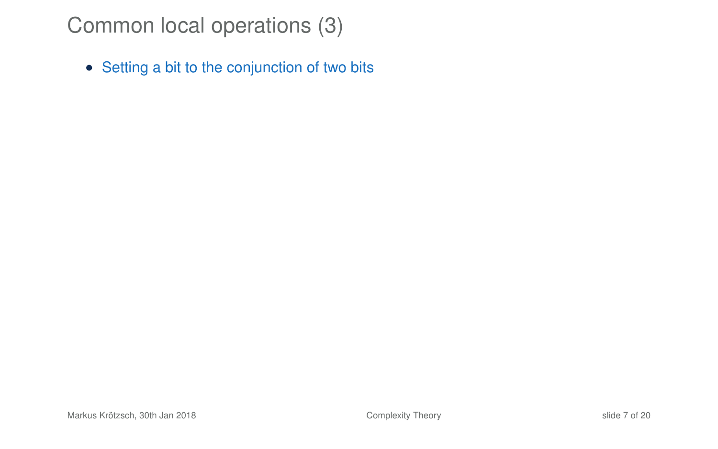• Setting a bit to the conjunction of two bits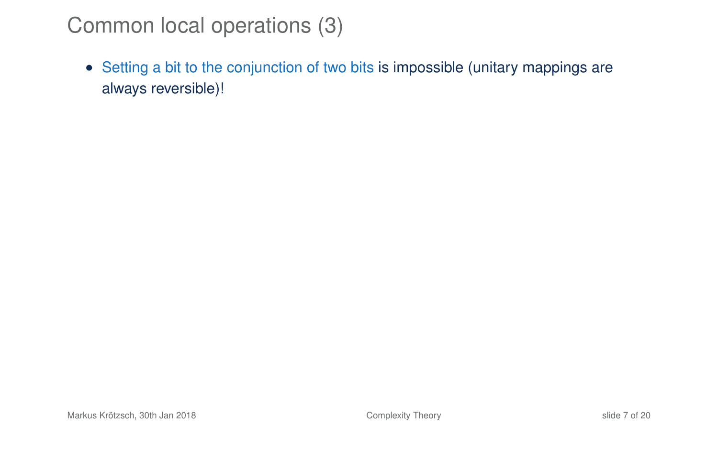• Setting a bit to the conjunction of two bits is impossible (unitary mappings are always reversible)!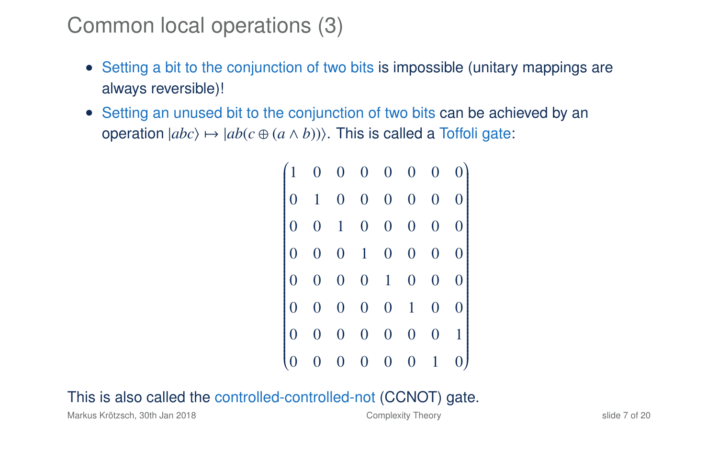- Setting a bit to the conjunction of two bits is impossible (unitary mappings are always reversible)!
- Setting an unused bit to the conjunction of two bits can be achieved by an operation  $|abc\rangle \mapsto |ab(c \oplus (a \wedge b))\rangle$ . This is called a Toffoli gate:

| $\begin{pmatrix} 1 & 0 & 0 & 0 & 0 & 0 & 0 & 0 \ 0 & 1 & 0 & 0 & 0 & 0 & 0 & 0 \ 0 & 0 & 1 & 0 & 0 & 0 & 0 & 0 \ 0 & 0 & 0 & 1 & 0 & 0 & 0 & 0 \end{pmatrix}$ |                         |                |                |                 |
|---------------------------------------------------------------------------------------------------------------------------------------------------------------|-------------------------|----------------|----------------|-----------------|
|                                                                                                                                                               |                         |                |                |                 |
|                                                                                                                                                               |                         |                |                |                 |
| $\begin{bmatrix} 0 & 0 & 0 & 0 & 1 & 0 & 0 & 0 \ 0 & 0 & 0 & 0 & 0 & 1 & 0 & 0 \ 0 & 0 & 0 & 0 & 0 & 0 & 0 & 1 \end{bmatrix}$                                 |                         |                |                | $0 \quad 1$     |
|                                                                                                                                                               | $\overline{\mathbf{0}}$ | $\overline{0}$ | $\overline{0}$ | $\vert 0 \vert$ |

### This is also called the controlled-controlled-not (CCNOT) gate.

Markus Krötzsch, 30th Jan 2018 [Complexity Theory](#page-0-0) Shide 7 of 20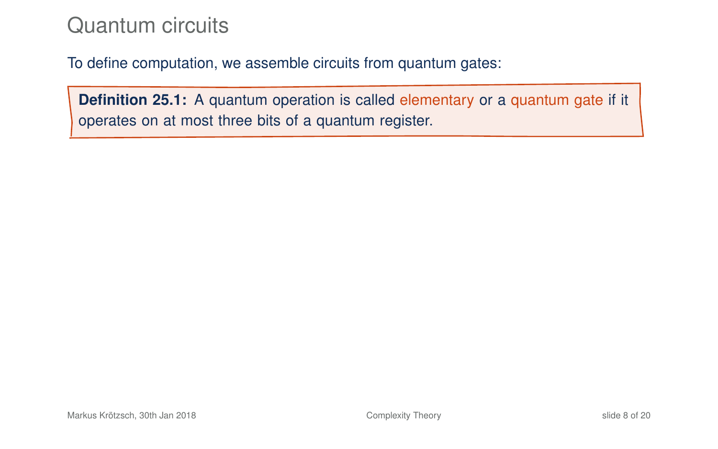## Quantum circuits

To define computation, we assemble circuits from quantum gates:

**Definition 25.1:** A quantum operation is called elementary or a quantum gate if it operates on at most three bits of a quantum register.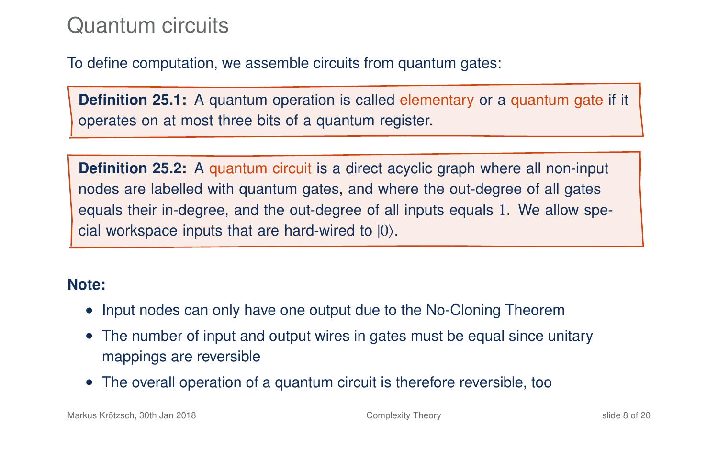## Quantum circuits

To define computation, we assemble circuits from quantum gates:

**Definition 25.1:** A quantum operation is called elementary or a quantum gate if it operates on at most three bits of a quantum register.

**Definition 25.2:** A quantum circuit is a direct acyclic graph where all non-input nodes are labelled with quantum gates, and where the out-degree of all gates equals their in-degree, and the out-degree of all inputs equals 1. We allow special workspace inputs that are hard-wired to  $|0\rangle$ .

#### **Note:**

- Input nodes can only have one output due to the No-Cloning Theorem
- The number of input and output wires in gates must be equal since unitary mappings are reversible
- The overall operation of a quantum circuit is therefore reversible, too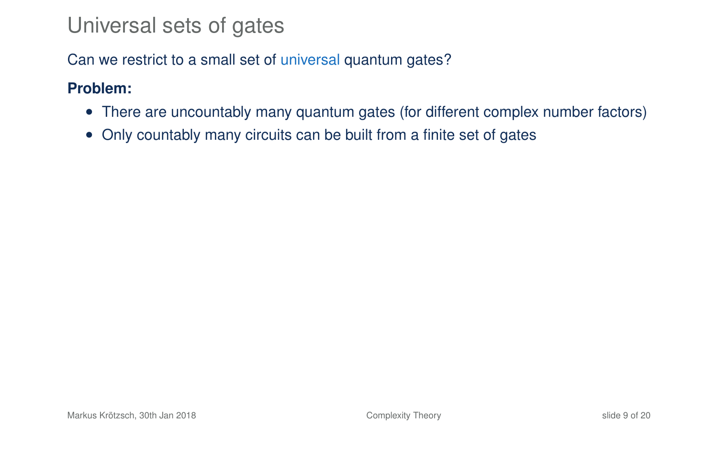## Universal sets of gates

Can we restrict to a small set of universal quantum gates?

#### **Problem:**

- There are uncountably many quantum gates (for different complex number factors)
- Only countably many circuits can be built from a finite set of gates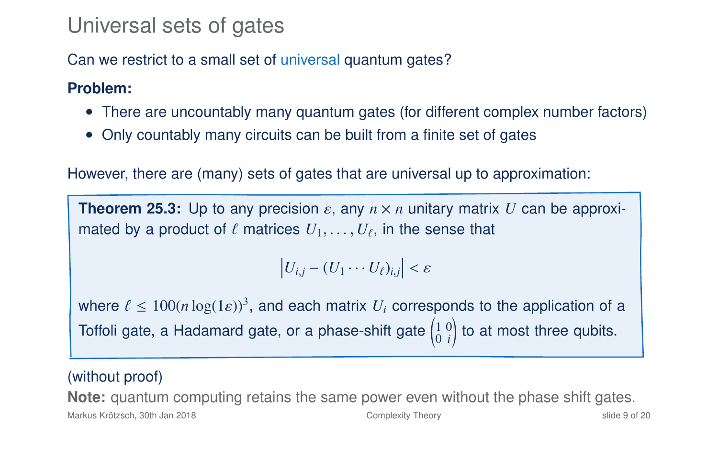## Universal sets of gates

Can we restrict to a small set of universal quantum gates?

### **Problem:**

- There are uncountably many quantum gates (for different complex number factors)
- Only countably many circuits can be built from a finite set of gates

However, there are (many) sets of gates that are universal up to approximation:

**Theorem 25.3:** Up to any precision  $\varepsilon$ , any  $n \times n$  unitary matrix U can be approximated by a product of  $\ell$  matrices  $U_1, \ldots, U_\ell$ , in the sense that

 $|U_{i,j} - (U_1 \cdots U_\ell)_{i,j}| < \varepsilon$ 

where  $\ell \le 100(n \log(1 \epsilon))^3$ , and each matrix  $U_i$  corresponds to the application of a Toffoli gate, a Hadamard gate, or a phase-shift gate  $\left(\begin{smallmatrix} 1 & 0 \ 0 & i \end{smallmatrix}\right)$ ! to at most three qubits.

### (without proof)

**Note:** quantum computing retains the same power even without the phase shift gates.

Markus Krötzsch, 30th Jan 2018 [Complexity Theory](#page-0-0) slide 9 of 20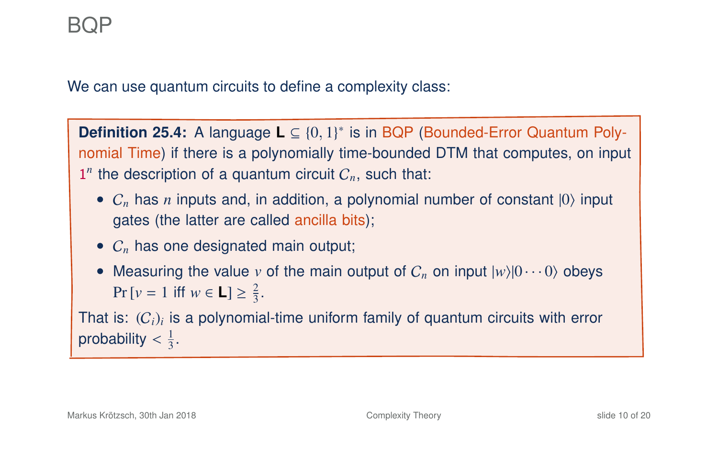We can use quantum circuits to define a complexity class:

**Definition 25.4:** A language **L** ⊆ {0, 1}<sup>\*</sup> is in BQP (Bounded-Error Quantum Polynomial Time) if there is a polynomially time-bounded DTM that computes, on input  $1<sup>n</sup>$  the description of a quantum circuit  $C_n$ , such that:

- $C_n$  has *n* inputs and, in addition, a polynomial number of constant  $|0\rangle$  input gates (the latter are called ancilla bits);
- $C<sub>n</sub>$  has one designated main output:
- Measuring the value *v* of the main output of  $C_n$  on input  $|w\rangle|0\cdots0\rangle$  obeys  $Pr[v = 1 \text{ iff } w \in L] \ge \frac{2}{3}.$

That is:  $(C_i)_i$  is a polynomial-time uniform family of quantum circuits with error probability  $\lt \frac{1}{3}$ .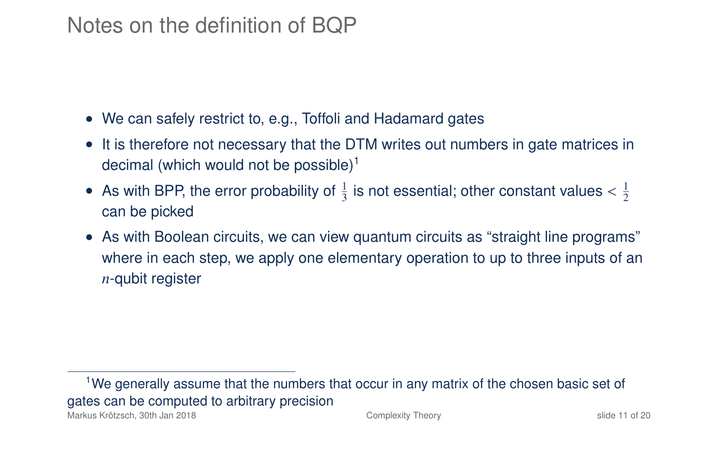## Notes on the definition of BQP

- We can safely restrict to, e.g., Toffoli and Hadamard gates
- It is therefore not necessary that the DTM writes out numbers in gate matrices in decimal (which would not be possible)<sup>1</sup>
- As with BPP, the error probability of  $\frac{1}{3}$  is not essential; other constant values  $\lt \frac{1}{2}$ can be picked
- As with Boolean circuits, we can view quantum circuits as "straight line programs" where in each step, we apply one elementary operation to up to three inputs of an *n*-qubit register

<sup>1</sup>We generally assume that the numbers that occur in any matrix of the chosen basic set of gates can be computed to arbitrary precision Markus Krötzsch, 30th Jan 2018 [Complexity Theory](#page-0-0) slide 11 of 20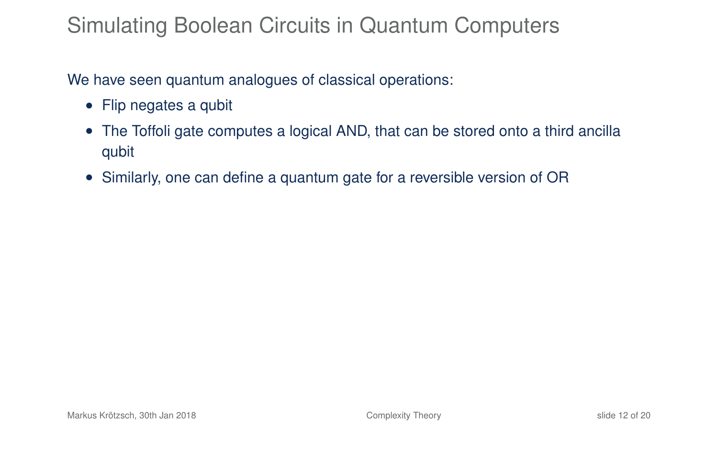## Simulating Boolean Circuits in Quantum Computers

We have seen quantum analogues of classical operations:

- Flip negates a qubit
- The Toffoli gate computes a logical AND, that can be stored onto a third ancilla qubit
- Similarly, one can define a quantum gate for a reversible version of OR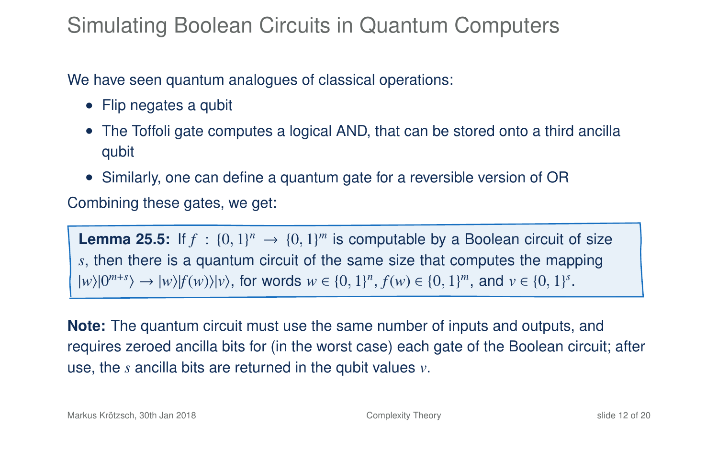## Simulating Boolean Circuits in Quantum Computers

We have seen quantum analogues of classical operations:

- Flip negates a qubit
- The Toffoli gate computes a logical AND, that can be stored onto a third ancilla qubit
- Similarly, one can define a quantum gate for a reversible version of OR

Combining these gates, we get:

**Lemma 25.5:** If  $f : \{0, 1\}^n \to \{0, 1\}^m$  is computable by a Boolean circuit of size *s*, then there is a quantum circuit of the same size that computes the mapping  $|w\rangle|0^{m+s}\rangle \to |w\rangle|f(w)\rangle|v\rangle$ , for words  $w \in \{0, 1\}^n$ ,  $f(w) \in \{0, 1\}^m$ , and  $v \in \{0, 1\}^s$ .

**Note:** The quantum circuit must use the same number of inputs and outputs, and requires zeroed ancilla bits for (in the worst case) each gate of the Boolean circuit; after use, the *s* ancilla bits are returned in the qubit values *v*.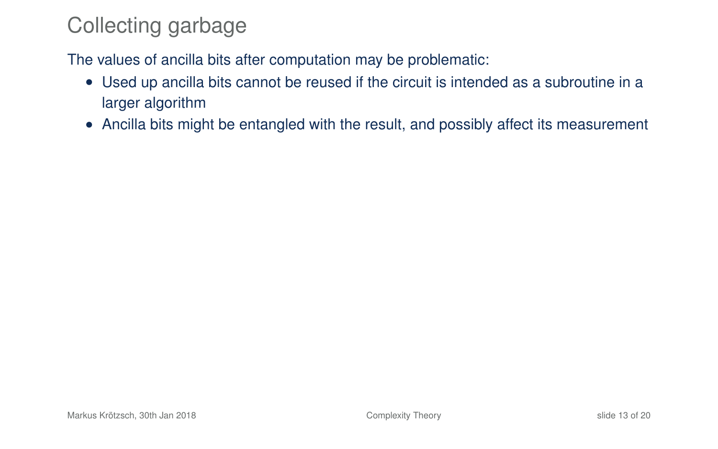## Collecting garbage

The values of ancilla bits after computation may be problematic:

- Used up ancilla bits cannot be reused if the circuit is intended as a subroutine in a larger algorithm
- Ancilla bits might be entangled with the result, and possibly affect its measurement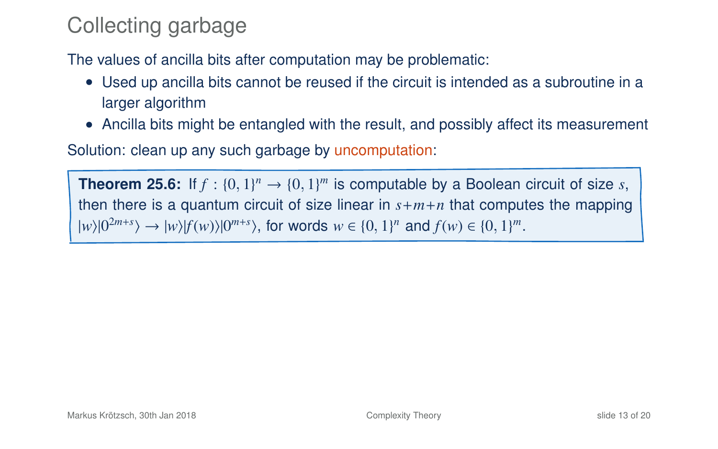## Collecting garbage

The values of ancilla bits after computation may be problematic:

- Used up ancilla bits cannot be reused if the circuit is intended as a subroutine in a larger algorithm
- Ancilla bits might be entangled with the result, and possibly affect its measurement

Solution: clean up any such garbage by uncomputation:

**Theorem 25.6:** If  $f : \{0, 1\}^n \to \{0, 1\}^m$  is computable by a Boolean circuit of size *s*, then there is a quantum circuit of size linear in  $s+m+n$  that computes the mapping  $|w\rangle|0^{2m+s}\rangle \rightarrow |w\rangle|f(w)\rangle|0^{m+s}\rangle$ , for words  $w \in \{0, 1\}^n$  and  $f(w) \in \{0, 1\}^m$ .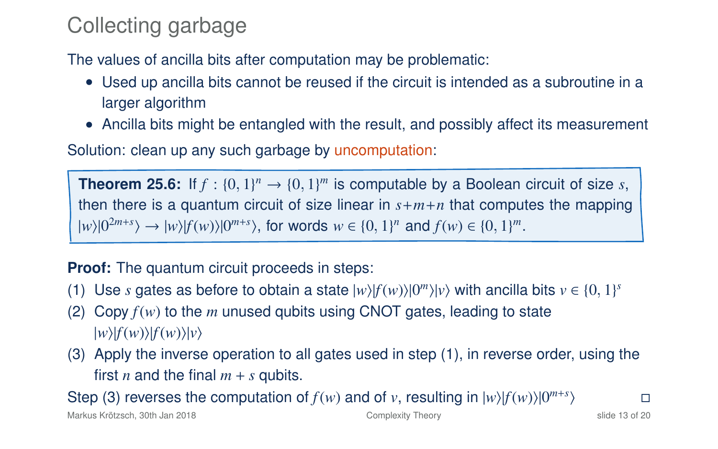## Collecting garbage

The values of ancilla bits after computation may be problematic:

- Used up ancilla bits cannot be reused if the circuit is intended as a subroutine in a larger algorithm
- Ancilla bits might be entangled with the result, and possibly affect its measurement

Solution: clean up any such garbage by uncomputation:

**Theorem 25.6:** If  $f : \{0, 1\}^n \to \{0, 1\}^m$  is computable by a Boolean circuit of size *s*, then there is a quantum circuit of size linear in  $s+m+n$  that computes the mapping  $|w\rangle|0^{2m+s}\rangle \rightarrow |w\rangle|f(w)\rangle|0^{m+s}\rangle$ , for words  $w \in \{0, 1\}^n$  and  $f(w) \in \{0, 1\}^m$ .

**Proof:** The quantum circuit proceeds in steps:

- (1) Use *s* gates as before to obtain a state  $|w\rangle|f(w)\rangle|0^m\rangle|v\rangle$  with ancilla bits  $v \in \{0, 1\}^s$
- (2) Copy  $f(w)$  to the *m* unused qubits using CNOT gates, leading to state  $|w\rangle|f(w)\rangle|f(w)\rangle|v\rangle$
- (3) Apply the inverse operation to all gates used in step (1), in reverse order, using the first *n* and the final  $m + s$  qubits.

Step (3) reverses the computation of  $f(w)$  and of v, resulting in  $|w\rangle|f(w)\rangle|0^{m+s}$  $\overline{)}$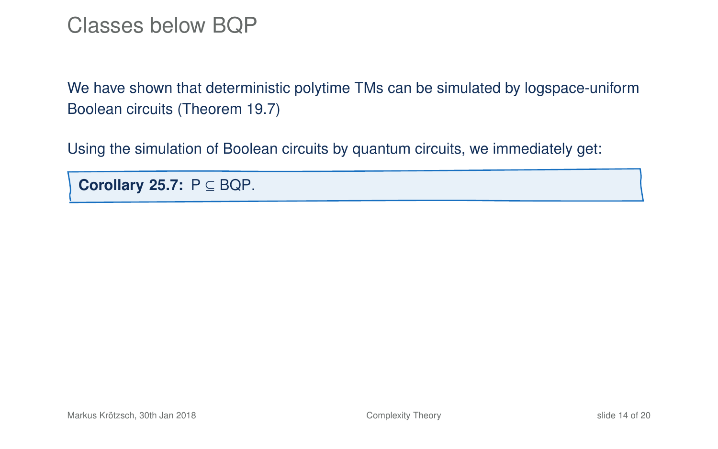### Classes below BQP

We have shown that deterministic polytime TMs can be simulated by logspace-uniform Boolean circuits (Theorem 19.7)

Using the simulation of Boolean circuits by quantum circuits, we immediately get:

**Corollary 25.7:** P ⊆ BQP.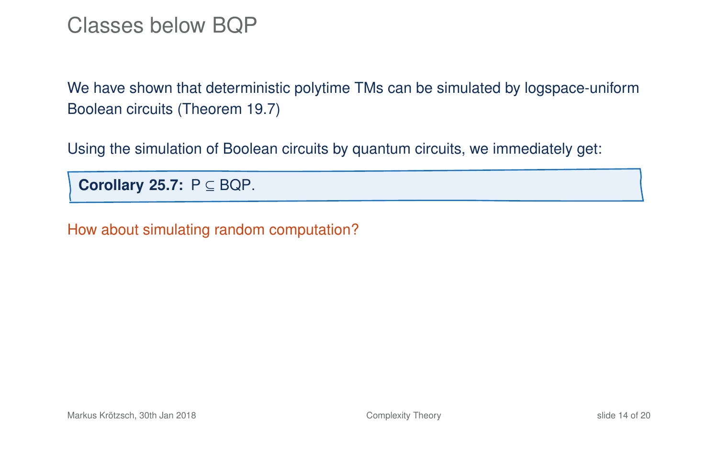### Classes below BQP

We have shown that deterministic polytime TMs can be simulated by logspace-uniform Boolean circuits (Theorem 19.7)

Using the simulation of Boolean circuits by quantum circuits, we immediately get:

**Corollary 25.7:** P ⊆ BQP.

How about simulating random computation?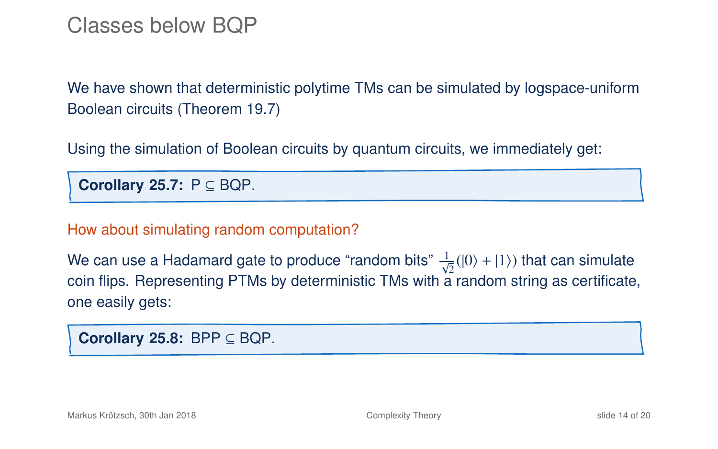### Classes below BQP

We have shown that deterministic polytime TMs can be simulated by logspace-uniform Boolean circuits (Theorem 19.7)

Using the simulation of Boolean circuits by quantum circuits, we immediately get:

**Corollary 25.7:** P ⊆ BQP.

How about simulating random computation?

We can use a Hadamard gate to produce "random bits"  $\frac{1}{\sqrt{2}}(|0\rangle + |1\rangle)$  that can simulate coin flips. Representing PTMs by deterministic TMs with a random string as certificate, one easily gets:

**Corollary 25.8:** BPP ⊆ BQP.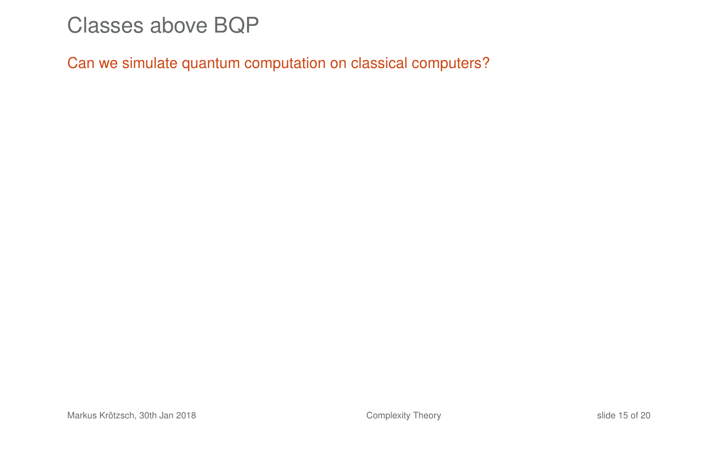### Classes above BQP

Can we simulate quantum computation on classical computers?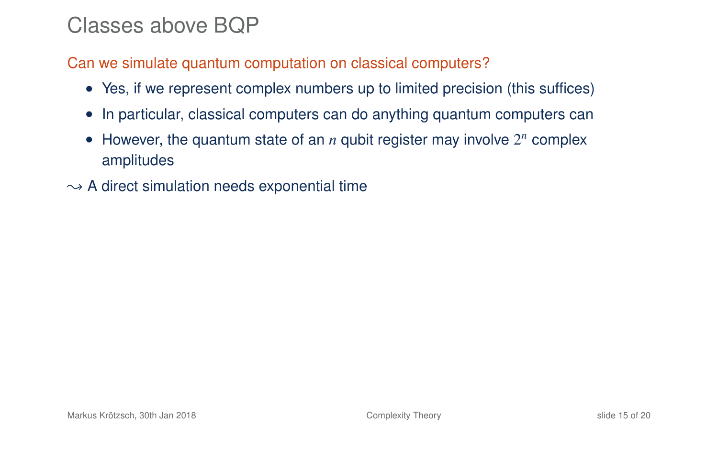## Classes above BQP

Can we simulate quantum computation on classical computers?

- Yes, if we represent complex numbers up to limited precision (this suffices)
- In particular, classical computers can do anything quantum computers can
- However, the quantum state of an  $n$  qubit register may involve  $2^n$  complex amplitudes
- $\rightarrow$  A direct simulation needs exponential time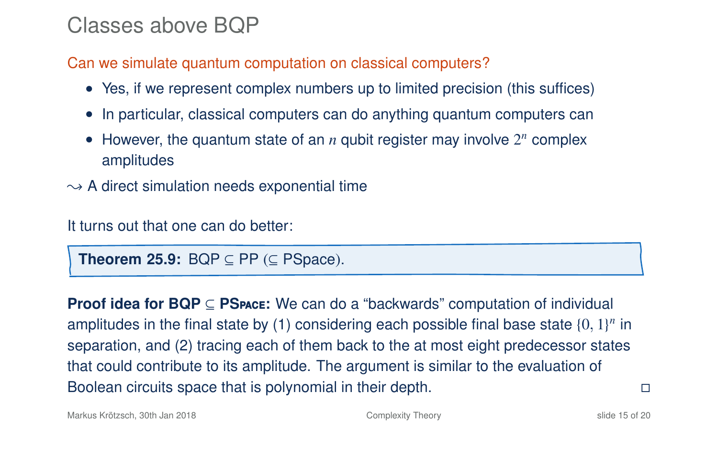### Classes above BQP

Can we simulate quantum computation on classical computers?

- Yes, if we represent complex numbers up to limited precision (this suffices)
- In particular, classical computers can do anything quantum computers can
- However, the quantum state of an  $n$  qubit register may involve  $2^n$  complex amplitudes
- $\rightarrow$  A direct simulation needs exponential time

It turns out that one can do better:

**Theorem 25.9:** BQP  $\subseteq$  PP ( $\subseteq$  PSpace).

**Proof idea for BQP** ⊆ **PS**pace**:** We can do a "backwards" computation of individual amplitudes in the final state by (1) considering each possible final base state  $\{0,1\}^n$  in separation, and (2) tracing each of them back to the at most eight predecessor states that could contribute to its amplitude. The argument is similar to the evaluation of Boolean circuits space that is polynomial in their depth.

Markus Krötzsch, 30th Jan 2018 [Complexity Theory](#page-0-0) slide 15 of 20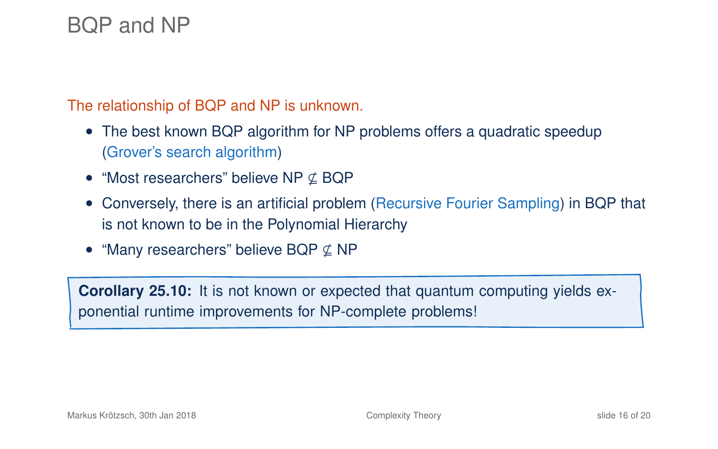## BQP and NP

The relationship of BQP and NP is unknown.

- The best known BQP algorithm for NP problems offers a quadratic speedup (Grover's search algorithm)
- "Most researchers" believe NP  $\nsubseteq$  BQP
- Conversely, there is an artificial problem (Recursive Fourier Sampling) in BQP that is not known to be in the Polynomial Hierarchy
- "Many researchers" believe BQP  $\nsubseteq$  NP

**Corollary 25.10:** It is not known or expected that quantum computing yields exponential runtime improvements for NP-complete problems!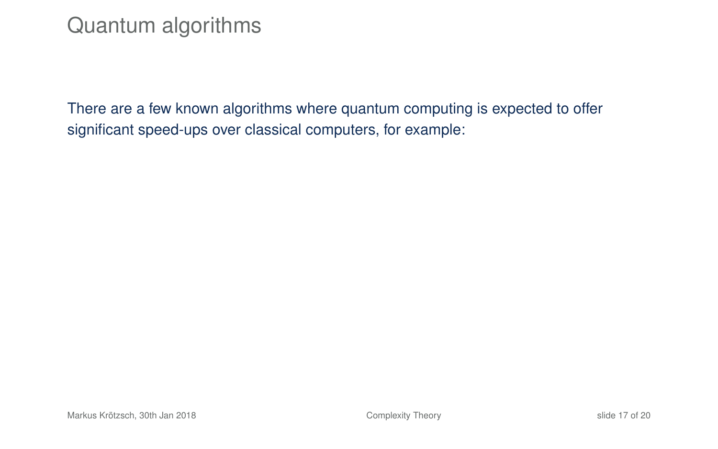## Quantum algorithms

There are a few known algorithms where quantum computing is expected to offer significant speed-ups over classical computers, for example: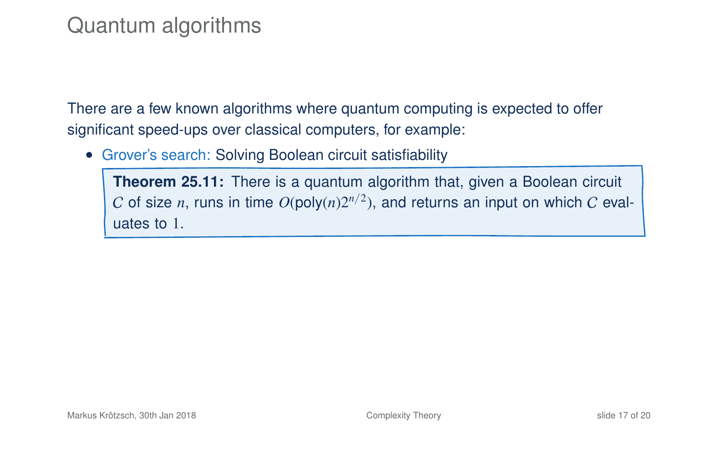## Quantum algorithms

There are a few known algorithms where quantum computing is expected to offer significant speed-ups over classical computers, for example:

• Grover's search: Solving Boolean circuit satisfiability

**Theorem 25.11:** There is a quantum algorithm that, given a Boolean circuit  $C$  of size  $n$ , runs in time  $O(\mathsf{poly}(n)2^{n/2})$ , and returns an input on which  $C$  evaluates to 1.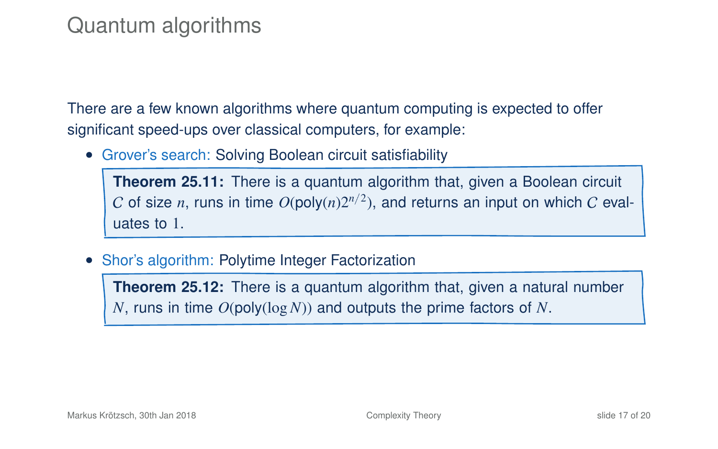## Quantum algorithms

There are a few known algorithms where quantum computing is expected to offer significant speed-ups over classical computers, for example:

• Grover's search: Solving Boolean circuit satisfiability

**Theorem 25.11:** There is a quantum algorithm that, given a Boolean circuit  $C$  of size  $n$ , runs in time  $O(\mathsf{poly}(n)2^{n/2})$ , and returns an input on which  $C$  evaluates to 1.

• Shor's algorithm: Polytime Integer Factorization

**Theorem 25.12:** There is a quantum algorithm that, given a natural number *N*, runs in time *O*(poly(log*N*)) and outputs the prime factors of *N*.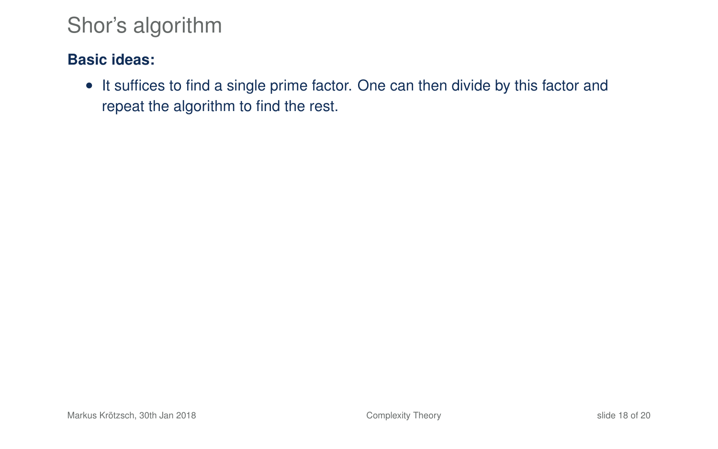### **Basic ideas:**

• It suffices to find a single prime factor. One can then divide by this factor and repeat the algorithm to find the rest.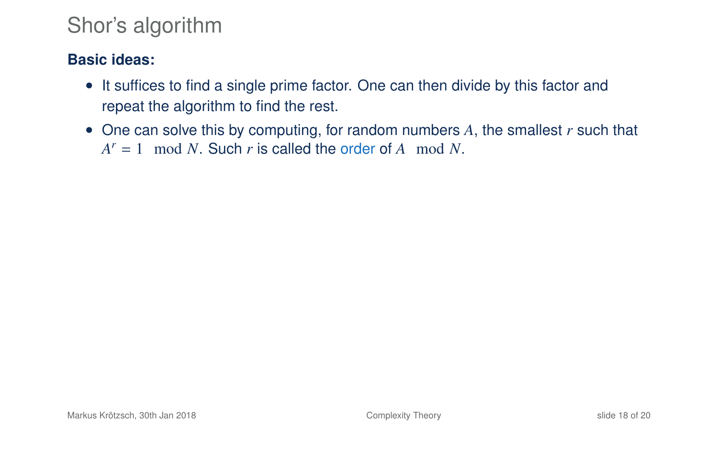- It suffices to find a single prime factor. One can then divide by this factor and repeat the algorithm to find the rest.
- One can solve this by computing, for random numbers *A*, the smallest *r* such that  $A^r = 1 \mod N$ . Such *r* is called the order of *A* mod *N*.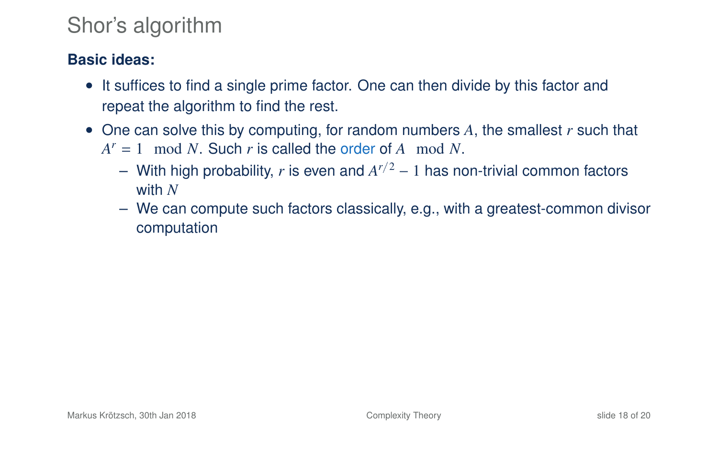- It suffices to find a single prime factor. One can then divide by this factor and repeat the algorithm to find the rest.
- One can solve this by computing, for random numbers *A*, the smallest *r* such that  $A^r = 1 \mod N$ . Such *r* is called the order of *A* mod *N*.
	- With high probability, *r* is even and *A <sup>r</sup>*/<sup>2</sup> − 1 has non-trivial common factors with *N*
	- We can compute such factors classically, e.g., with a greatest-common divisor computation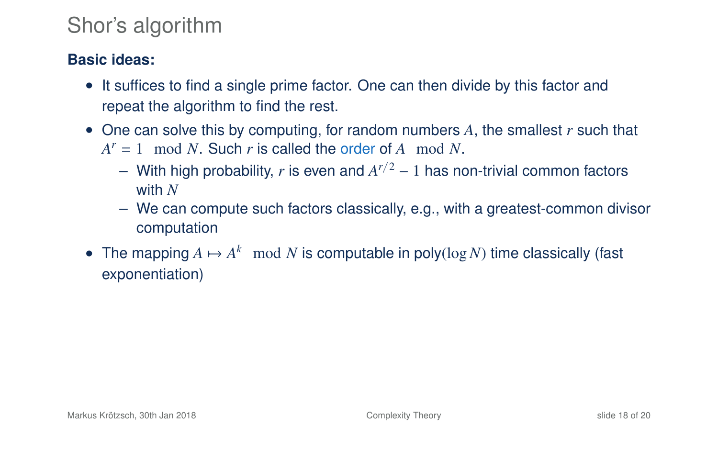- It suffices to find a single prime factor. One can then divide by this factor and repeat the algorithm to find the rest.
- One can solve this by computing, for random numbers *A*, the smallest *r* such that  $A^r = 1 \mod N$ . Such *r* is called the order of *A* mod *N*.
	- With high probability, *r* is even and *A <sup>r</sup>*/<sup>2</sup> − 1 has non-trivial common factors with *N*
	- We can compute such factors classically, e.g., with a greatest-common divisor computation
- The mapping  $A \mapsto A^k \mod N$  is computable in poly(log N) time classically (fast exponentiation)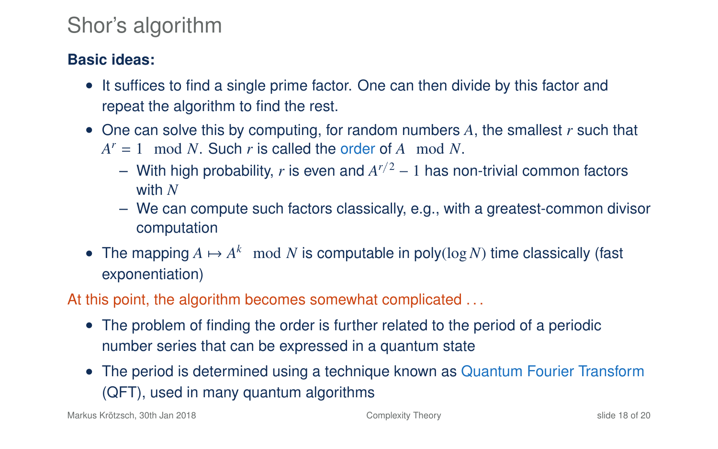### **Basic ideas:**

- It suffices to find a single prime factor. One can then divide by this factor and repeat the algorithm to find the rest.
- One can solve this by computing, for random numbers *A*, the smallest *r* such that  $A^r = 1 \mod N$ . Such *r* is called the order of *A* mod *N*.
	- With high probability, *r* is even and *A <sup>r</sup>*/<sup>2</sup> − 1 has non-trivial common factors with *N*
	- We can compute such factors classically, e.g., with a greatest-common divisor computation
- The mapping  $A \mapsto A^k \mod N$  is computable in poly(log N) time classically (fast exponentiation)

At this point, the algorithm becomes somewhat complicated ...

- The problem of finding the order is further related to the period of a periodic number series that can be expressed in a quantum state
- The period is determined using a technique known as Quantum Fourier Transform (QFT), used in many quantum algorithms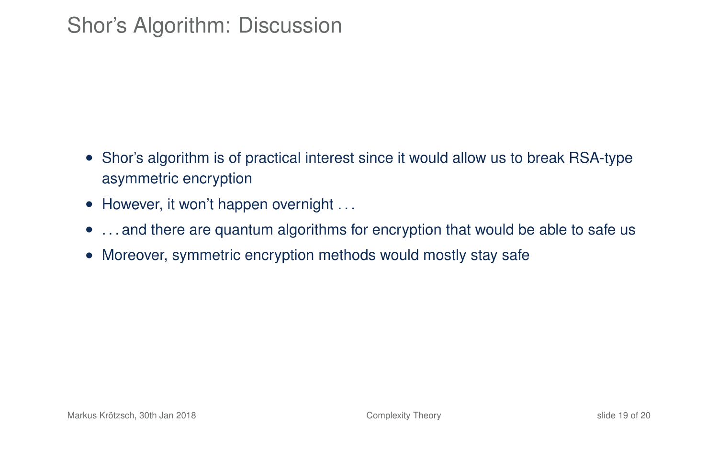## Shor's Algorithm: Discussion

- Shor's algorithm is of practical interest since it would allow us to break RSA-type asymmetric encryption
- However, it won't happen overnight ...
- ... and there are quantum algorithms for encryption that would be able to safe us
- Moreover, symmetric encryption methods would mostly stay safe